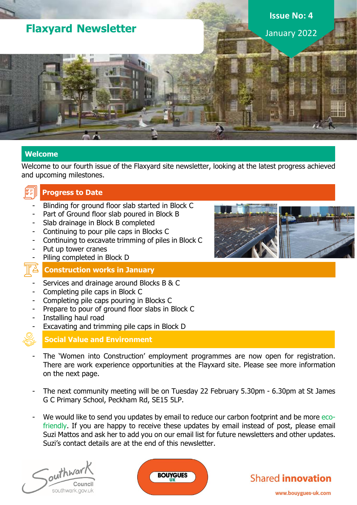# **Flaxyard Newsletter**

**Issue No: 4** January 2022

**Welcome**

Welcome to our fourth issue of the Flaxyard site newsletter, looking at the latest progress achieved and upcoming milestones.

## **Progress to Date**

- Blinding for ground floor slab started in Block C
- Part of Ground floor slab poured in Block B
- Slab drainage in Block B completed
- Continuing to pour pile caps in Blocks C
- Continuing to excavate trimming of piles in Block C
- Put up tower cranes
- Piling completed in Block D

## **Construction works in January**

- Services and drainage around Blocks B & C
- Completing pile caps in Block C
- Completing pile caps pouring in Blocks C
- Prepare to pour of ground floor slabs in Block C
- Installing haul road
- Excavating and trimming pile caps in Block D



## **Social Value and Environment**

- The 'Women into Construction' employment programmes are now open for registration. There are work experience opportunities at the Flayxard site. Please see more information on the next page.
- The next community meeting will be on Tuesday 22 February 5.30pm 6.30pm at St James G C Primary School, Peckham Rd, SE15 5LP.
- We would like to send you updates by email to reduce our carbon footprint and be more ecofriendly. If you are happy to receive these updates by email instead of post, please email Suzi Mattos and ask her to add you on our email list for future newsletters and other updates. Suzi's contact details are at the end of this newsletter.









www.bouygues-uk.com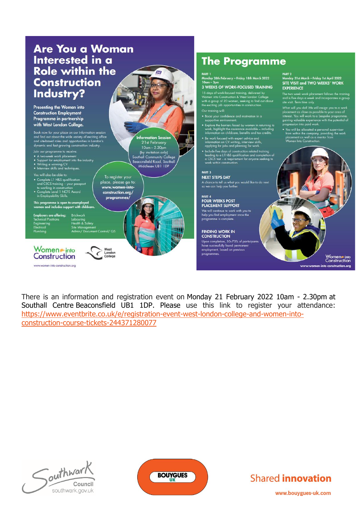### Are You a Woman Interested in a **Role within the Construction** Industry? Presenting the Women into **Construction Employment** Programme in partnership with West London College. Book now for your place on our information session<br>and find out about the wide variety of exciting office<br>and site-based roles and opportunities in London's<br>dynamic and fast growing construction industry. **Information Session**<br>21st February  $10$ am –  $2.30$ pn Join our programme to receiv (by invitation only)<br>uthall Community Colle - A two-week work placement<br>- Support for employment into the industry<br>- Writing a winning CV<br>- Interview skills and techniques. Beaconsfield Road, Southal Middlesex UB1 IDP PART<sub>3</sub> will also be able to To register your<br>place, please go to: **NEXT STEPS DAY** - Complete L1 H&S qualification<br>and CSCS training – your possport<br>to working in construction<br>+ Complete Level 1 NCFE Award<br>in Employability Skills. www.women-intoconstruction.org/ programmes This programme is open to unemployed<br>women and includes support with childco Site Management<br>Site Management<br>Admin/ Document Control/ QS Women • into West<br>London<br>College Construction www.women-into-construction.org

# **The Programme**

PART 1<br>Monday 28th February – Friday 18th March 2022

#### 3 WEEKS OF WORK-FOCUSED TRAINING

15 days of work-focused training, delivered by<br>Women into Construction & West London College<br>with a group of 20 women, seeking to find out at<br>the exciting job opportunities in construction.

- 
- Boost your confidence and motivation in a<br>supportive environment.
- suppose the barriers faced by women in returning to<br>
 Explore the barriers faced by women in returning to<br>
work, highlight the assistance available including<br>
information on childcare, benefits and tax credits.
- $\begin{array}{ll} \bullet\ \text{Be work focused with expert advice and information on CV writing, interview skills, applying for jobs and planning for work.} \end{array}$
- Include five days of construction related training<br>leading to a LTH&S qualification and completion of<br>a CSCS test a requirement for anyone seeking to<br>work within construction.

A chance to tell us what you would like to do next<br>so we can help you further.

PART 4<br>FOUR WEEKS POST **PLACEMENT SUPPORT** 

We will continue to work with you to<br>help you find employment once the<br>programme is complete.

**FINDING WORK IN**<br>CONSTRUCTION

Upon completion, 50–70% of participants<br>have successfully found permanent employment, based on previous

PART 2<br>Monday 21st March – Friday 1st April 2022<br>SITE VISIT and TWO WEEKS' WORK **EXPERIENCE** 

The two week work placement follows the training<br>and is five days a week and incorporates a group<br>site visit. Term time only.

What will you do? We will assign you to a work<br>placement as close as possible to your area of<br>interest. You will work to a bespoke programme,<br>gaining valuable experience with the potential of<br>progression into paid work.

.<br>
• You will be allocated a personal supervisor<br>
from within the company, providing the work<br>
placement as well as a mentor from<br>
Women Into Construction.

into-construction.org

Women into<br>Construction

There is an information and registration event on Monday 21 February 2022 10am - 2.30pm at Southall Centre Beaconsfield UB1 1DP. Please use this link to register your attendance: https://www.eventbrite.co.uk/e/registration-event-west-london-college-and-women-intoconstruction-course-tickets-244371280077







www.bouygues-uk.com